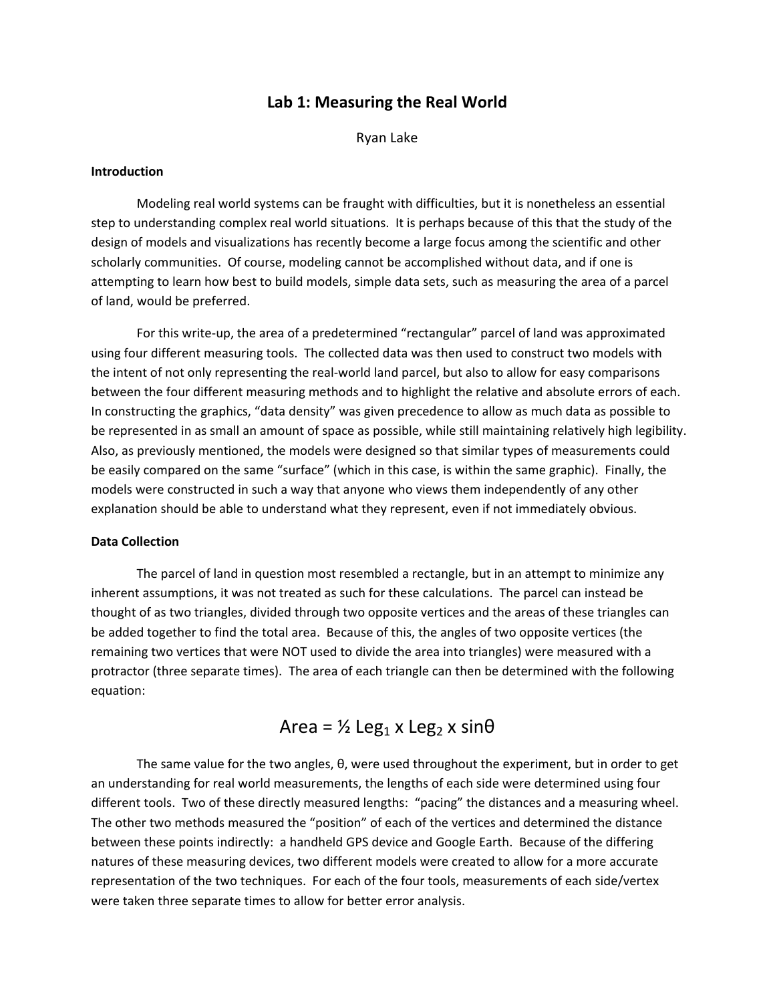# **Lab 1: Measuring the Real World**

Ryan Lake

### **Introduction**

Modeling real world systems can be fraught with difficulties, but it is nonetheless an essential step to understanding complex real world situations. It is perhaps because of this that the study of the design of models and visualizations has recently become a large focus among the scientific and other scholarly communities. Of course, modeling cannot be accomplished without data, and if one is attempting to learn how best to build models, simple data sets, such as measuring the area of a parcel of land, would be preferred.

For this write‐up, the area of a predetermined "rectangular" parcel of land was approximated using four different measuring tools. The collected data was then used to construct two models with the intent of not only representing the real‐world land parcel, but also to allow for easy comparisons between the four different measuring methods and to highlight the relative and absolute errors of each. In constructing the graphics, "data density" was given precedence to allow as much data as possible to be represented in as small an amount of space as possible, while still maintaining relatively high legibility. Also, as previously mentioned, the models were designed so that similar types of measurements could be easily compared on the same "surface" (which in this case, is within the same graphic). Finally, the models were constructed in such a way that anyone who views them independently of any other explanation should be able to understand what they represent, even if not immediately obvious.

## **Data Collection**

The parcel of land in question most resembled a rectangle, but in an attempt to minimize any inherent assumptions, it was not treated as such for these calculations. The parcel can instead be thought of as two triangles, divided through two opposite vertices and the areas of these triangles can be added together to find the total area. Because of this, the angles of two opposite vertices (the remaining two vertices that were NOT used to divide the area into triangles) were measured with a protractor (three separate times). The area of each triangle can then be determined with the following equation:

# $Area = ½ Leg_1 x Leg_2 x sin\theta$

The same value for the two angles, θ, were used throughout the experiment, but in order to get an understanding for real world measurements, the lengths of each side were determined using four different tools. Two of these directly measured lengths: "pacing" the distances and a measuring wheel. The other two methods measured the "position" of each of the vertices and determined the distance between these points indirectly: a handheld GPS device and Google Earth. Because of the differing natures of these measuring devices, two different models were created to allow for a more accurate representation of the two techniques. For each of the four tools, measurements of each side/vertex were taken three separate times to allow for better error analysis.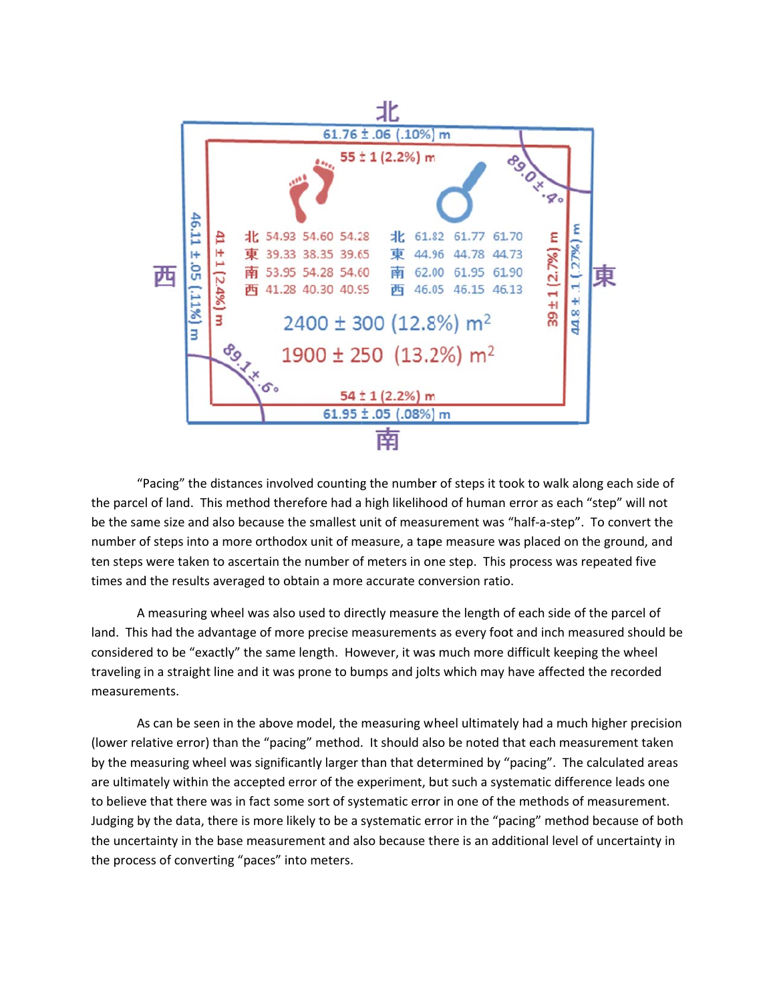

"Pacing" the distances involved counting the number of steps it took to walk along each side of the parcel of land. This method therefore had a high likelihood of human error as each "step" will not be the same size and also because the smallest unit of measurement was "half-a-step". To convert the number of steps into a more orthodox unit of measure, a tape measure was placed on the ground, and ten steps were taken to ascertain the number of meters in one step. This process was repeated five times and the results averaged to obtain a more accurate conversion ratio.

A measuring wheel was also used to directly measure the length of each side of the parcel of land. This had the advantage of more precise measurements as every foot and inch measured should be considered to be "exactly" the same length. However, it was much more difficult keeping the wheel traveling in a straight line and it was prone to bumps and jolts which may have affected the recorded measurements.

As can be seen in the above model, the measuring wheel ultimately had a much higher precision (lower relative error) than the "pacing" method. It should also be noted that each measurement taken by the measuring wheel was significantly larger than that determined by "pacing". The calculated areas are ultimately within the accepted error of the experiment, but such a systematic difference leads one to believe that there was in fact some sort of systematic error in one of the methods of measurement. Judging by the data, there is more likely to be a systematic error in the "pacing" method because of both the uncertainty in the base measurement and also because there is an additional level of uncertainty in the process of converting "paces" into meters.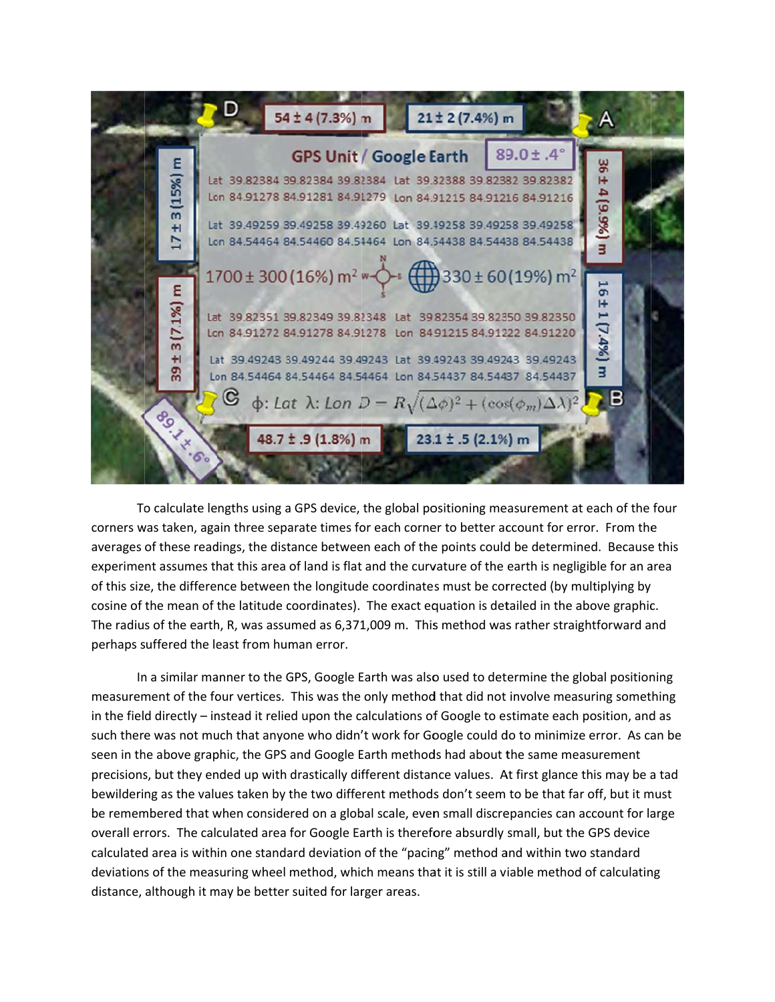

To calculate lengths using a GPS device, the global positioning measurement at each of the four corners was taken, again three separate times for each corner to better account for error. From the averages of these readings, the distance between each of the points could be determined. Because this experiment assumes that this area of land is flat and the curvature of the earth is negligible for an area of this size, the difference between the longitude coordinates must be corrected (by multiplying by cosine of the mean of the latitude coordinates). The exact equation is detailed in the above graphic. The radius of the earth, R, was assumed as 6,371,009 m. This method was rather straightforward and perhaps suffered the least from human error.

In a similar manner to the GPS, Google Earth was also used to determine the global positioning measurement of the four vertices. This was the only method that did not involve measuring something in the field directly - instead it relied upon the calculations of Google to estimate each position, and as such there was not much that anyone who didn't work for Google could do to minimize error. As can be seen in the above graphic, the GPS and Google Earth methods had about the same measurement precisions, but they ended up with drastically different distance values. At first glance this may be a tad bewildering as the values taken by the two different methods don't seem to be that far off, but it must be remembered that when considered on a global scale, even small discrepancies can account for large overall errors. The calculated area for Google Earth is therefore absurdly small, but the GPS device calculated area is within one standard deviation of the "pacing" method and within two standard deviations of the measuring wheel method, which means that it is still a viable method of calculating distance, although it may be better suited for larger areas.